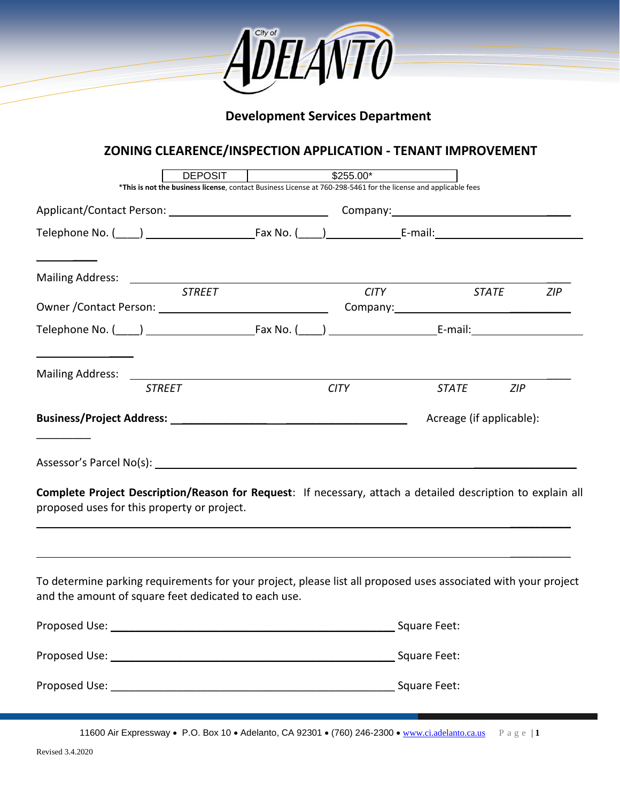

## **Development Services Department**

## **ZONING CLEARENCE/INSPECTION APPLICATION - TENANT IMPROVEMENT**

|                                                                                                                 | <b>DEPOSIT</b> |                                                                                                                                                                                                                                | $$255.00*$  |                          |                     |
|-----------------------------------------------------------------------------------------------------------------|----------------|--------------------------------------------------------------------------------------------------------------------------------------------------------------------------------------------------------------------------------|-------------|--------------------------|---------------------|
|                                                                                                                 |                | *This is not the business license, contact Business License at 760-298-5461 for the license and applicable fees                                                                                                                |             |                          |                     |
|                                                                                                                 |                |                                                                                                                                                                                                                                |             |                          |                     |
|                                                                                                                 |                |                                                                                                                                                                                                                                |             |                          |                     |
|                                                                                                                 |                |                                                                                                                                                                                                                                |             |                          |                     |
|                                                                                                                 | $S$ TREET      |                                                                                                                                                                                                                                | <b>CITY</b> |                          | <b>STATE</b><br>ZIP |
|                                                                                                                 |                |                                                                                                                                                                                                                                |             |                          |                     |
| Mailing Address: National Address and Address and Address and Address and Address and Address and Address and A |                |                                                                                                                                                                                                                                |             |                          |                     |
|                                                                                                                 | <b>STREET</b>  |                                                                                                                                                                                                                                | <b>CITY</b> | <b>STATE</b>             | ZIP                 |
|                                                                                                                 |                |                                                                                                                                                                                                                                |             | Acreage (if applicable): |                     |
|                                                                                                                 |                | Assessor's Parcel No(s): Note and the set of the set of the set of the set of the set of the set of the set of the set of the set of the set of the set of the set of the set of the set of the set of the set of the set of t |             |                          |                     |
| proposed uses for this property or project.                                                                     |                | Complete Project Description/Reason for Request: If necessary, attach a detailed description to explain all                                                                                                                    |             |                          |                     |
|                                                                                                                 |                |                                                                                                                                                                                                                                |             |                          |                     |
| and the amount of square feet dedicated to each use.                                                            |                | To determine parking requirements for your project, please list all proposed uses associated with your project                                                                                                                 |             |                          |                     |
|                                                                                                                 |                |                                                                                                                                                                                                                                |             |                          |                     |
|                                                                                                                 |                |                                                                                                                                                                                                                                |             |                          |                     |
|                                                                                                                 |                |                                                                                                                                                                                                                                |             |                          |                     |

11600 Air Expressway • P.O. Box 10 • Adelanto, CA 92301 • (760) 246-2300 • [www.ci.adelanto.ca.us](http://www.ci.adelanto.ca.us/) P a g e | **1**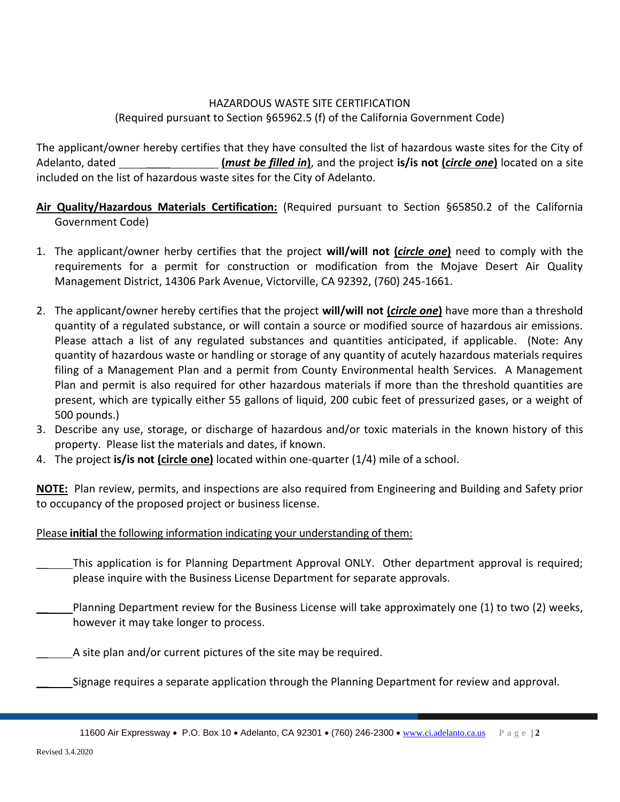## HAZARDOUS WASTE SITE CERTIFICATION (Required pursuant to Section §65962.5 (f) of the California Government Code)

The applicant/owner hereby certifies that they have consulted the list of hazardous waste sites for the City of Adelanto, dated \_\_\_\_ **(***must be filled in***)**, and the project **is/is not (***circle one***)** located on a site included on the list of hazardous waste sites for the City of Adelanto.

- **Air Quality/Hazardous Materials Certification:** (Required pursuant to Section §65850.2 of the California Government Code)
- 1. The applicant/owner herby certifies that the project **will/will not (***circle one***)** need to comply with the requirements for a permit for construction or modification from the Mojave Desert Air Quality Management District, 14306 Park Avenue, Victorville, CA 92392, (760) 245-1661.
- 2. The applicant/owner hereby certifies that the project **will/will not (***circle one***)** have more than a threshold quantity of a regulated substance, or will contain a source or modified source of hazardous air emissions. Please attach a list of any regulated substances and quantities anticipated, if applicable. (Note: Any quantity of hazardous waste or handling or storage of any quantity of acutely hazardous materials requires filing of a Management Plan and a permit from County Environmental health Services. A Management Plan and permit is also required for other hazardous materials if more than the threshold quantities are present, which are typically either 55 gallons of liquid, 200 cubic feet of pressurized gases, or a weight of 500 pounds.)
- 3. Describe any use, storage, or discharge of hazardous and/or toxic materials in the known history of this property. Please list the materials and dates, if known.
- 4. The project **is/is not (circle one)** located within one-quarter (1/4) mile of a school.

**NOTE:** Plan review, permits, and inspections are also required from Engineering and Building and Safety prior to occupancy of the proposed project or business license.

## Please **initial** the following information indicating your understanding of them:

This application is for Planning Department Approval ONLY. Other department approval is required; please inquire with the Business License Department for separate approvals.

Planning Department review for the Business License will take approximately one (1) to two (2) weeks, however it may take longer to process.

A site plan and/or current pictures of the site may be required.

\_\_ Signage requires a separate application through the Planning Department for review and approval.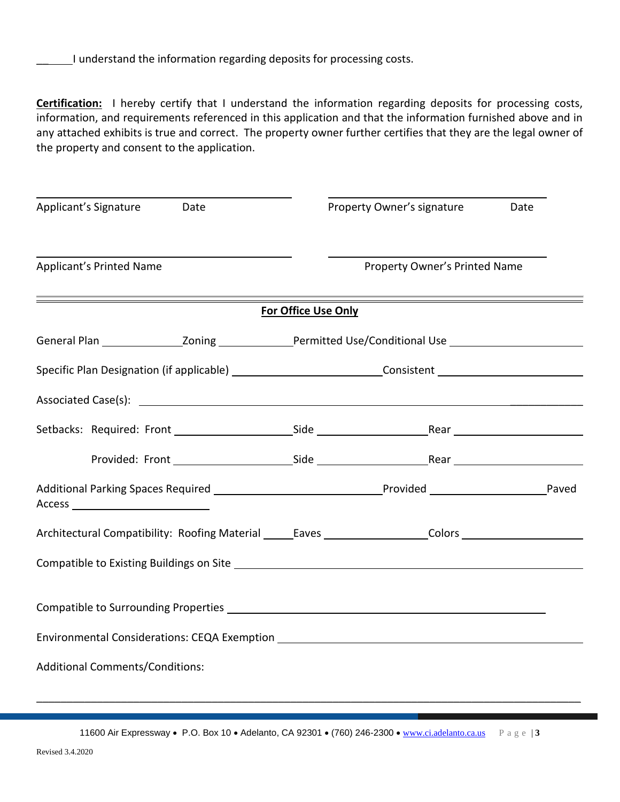\_\_ I understand the information regarding deposits for processing costs.

**Certification:** I hereby certify that I understand the information regarding deposits for processing costs, information, and requirements referenced in this application and that the information furnished above and in any attached exhibits is true and correct. The property owner further certifies that they are the legal owner of the property and consent to the application.

| Applicant's Signature           | <b>Date</b>                            |                     | Property Owner's signature                                                                                    | Date |  |
|---------------------------------|----------------------------------------|---------------------|---------------------------------------------------------------------------------------------------------------|------|--|
| <b>Applicant's Printed Name</b> |                                        |                     | Property Owner's Printed Name                                                                                 |      |  |
|                                 |                                        | For Office Use Only |                                                                                                               |      |  |
|                                 |                                        |                     |                                                                                                               |      |  |
|                                 |                                        |                     | Specific Plan Designation (if applicable) _____________________________Consistent ___________________________ |      |  |
|                                 |                                        |                     |                                                                                                               |      |  |
|                                 |                                        |                     |                                                                                                               |      |  |
|                                 |                                        |                     |                                                                                                               |      |  |
|                                 |                                        |                     |                                                                                                               |      |  |
|                                 |                                        |                     | Architectural Compatibility: Roofing Material ______Eaves ______________________Colors _____________          |      |  |
|                                 |                                        |                     |                                                                                                               |      |  |
|                                 |                                        |                     |                                                                                                               |      |  |
|                                 |                                        |                     | Environmental Considerations: CEQA Exemption ___________________________________                              |      |  |
|                                 | <b>Additional Comments/Conditions:</b> |                     |                                                                                                               |      |  |

\_\_\_\_\_\_\_\_\_\_\_\_\_\_\_\_\_\_\_\_\_\_\_\_\_\_\_\_\_\_\_\_\_\_\_\_\_\_\_\_\_\_\_\_\_\_\_\_\_\_\_\_\_\_\_\_\_\_\_\_\_\_\_\_\_\_\_\_\_\_\_\_\_\_\_\_\_\_\_\_\_\_\_\_\_\_\_\_\_\_